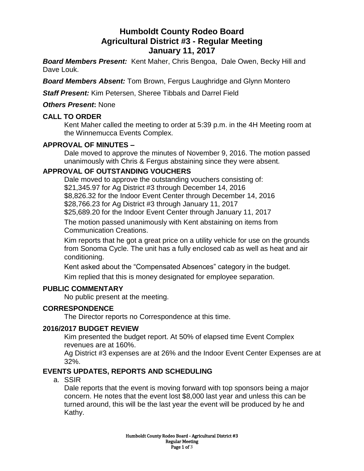# **Humboldt County Rodeo Board Agricultural District #3 - Regular Meeting January 11, 2017**

*Board Members Present:* Kent Maher, Chris Bengoa, Dale Owen, Becky Hill and Dave Louk.

*Board Members Absent:* Tom Brown, Fergus Laughridge and Glynn Montero

*Staff Present:* Kim Petersen, Sheree Tibbals and Darrel Field

#### *Others Present***:** None

### **CALL TO ORDER**

Kent Maher called the meeting to order at 5:39 p.m. in the 4H Meeting room at the Winnemucca Events Complex.

# **APPROVAL OF MINUTES –**

Dale moved to approve the minutes of November 9, 2016. The motion passed unanimously with Chris & Fergus abstaining since they were absent.

### **APPROVAL OF OUTSTANDING VOUCHERS**

Dale moved to approve the outstanding vouchers consisting of: \$21,345.97 for Ag District #3 through December 14, 2016 \$8,826.32 for the Indoor Event Center through December 14, 2016 \$28,766.23 for Ag District #3 through January 11, 2017 \$25,689.20 for the Indoor Event Center through January 11, 2017

The motion passed unanimously with Kent abstaining on items from Communication Creations.

Kim reports that he got a great price on a utility vehicle for use on the grounds from Sonoma Cycle. The unit has a fully enclosed cab as well as heat and air conditioning.

Kent asked about the "Compensated Absences" category in the budget.

Kim replied that this is money designated for employee separation.

#### **PUBLIC COMMENTARY**

No public present at the meeting.

# **CORRESPONDENCE**

The Director reports no Correspondence at this time.

# **2016/2017 BUDGET REVIEW**

Kim presented the budget report. At 50% of elapsed time Event Complex revenues are at 160%.

Ag District #3 expenses are at 26% and the Indoor Event Center Expenses are at 32%.

# **EVENTS UPDATES, REPORTS AND SCHEDULING**

a. SSIR

Dale reports that the event is moving forward with top sponsors being a major concern. He notes that the event lost \$8,000 last year and unless this can be turned around, this will be the last year the event will be produced by he and Kathy.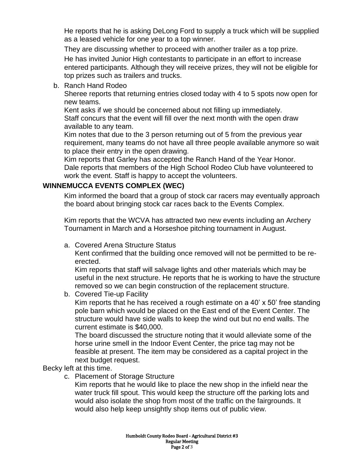He reports that he is asking DeLong Ford to supply a truck which will be supplied as a leased vehicle for one year to a top winner.

They are discussing whether to proceed with another trailer as a top prize.

He has invited Junior High contestants to participate in an effort to increase entered participants. Although they will receive prizes, they will not be eligible for top prizes such as trailers and trucks.

b. Ranch Hand Rodeo

Sheree reports that returning entries closed today with 4 to 5 spots now open for new teams.

Kent asks if we should be concerned about not filling up immediately.

Staff concurs that the event will fill over the next month with the open draw available to any team.

Kim notes that due to the 3 person returning out of 5 from the previous year requirement, many teams do not have all three people available anymore so wait to place their entry in the open drawing.

Kim reports that Garley has accepted the Ranch Hand of the Year Honor. Dale reports that members of the High School Rodeo Club have volunteered to work the event. Staff is happy to accept the volunteers.

# **WINNEMUCCA EVENTS COMPLEX (WEC)**

Kim informed the board that a group of stock car racers may eventually approach the board about bringing stock car races back to the Events Complex.

Kim reports that the WCVA has attracted two new events including an Archery Tournament in March and a Horseshoe pitching tournament in August.

a. Covered Arena Structure Status

Kent confirmed that the building once removed will not be permitted to be reerected.

Kim reports that staff will salvage lights and other materials which may be useful in the next structure. He reports that he is working to have the structure removed so we can begin construction of the replacement structure.

b. Covered Tie-up Facility

Kim reports that he has received a rough estimate on a 40' x 50' free standing pole barn which would be placed on the East end of the Event Center. The structure would have side walls to keep the wind out but no end walls. The current estimate is \$40,000.

The board discussed the structure noting that it would alleviate some of the horse urine smell in the Indoor Event Center, the price tag may not be feasible at present. The item may be considered as a capital project in the next budget request.

Becky left at this time.

c. Placement of Storage Structure

Kim reports that he would like to place the new shop in the infield near the water truck fill spout. This would keep the structure off the parking lots and would also isolate the shop from most of the traffic on the fairgrounds. It would also help keep unsightly shop items out of public view.